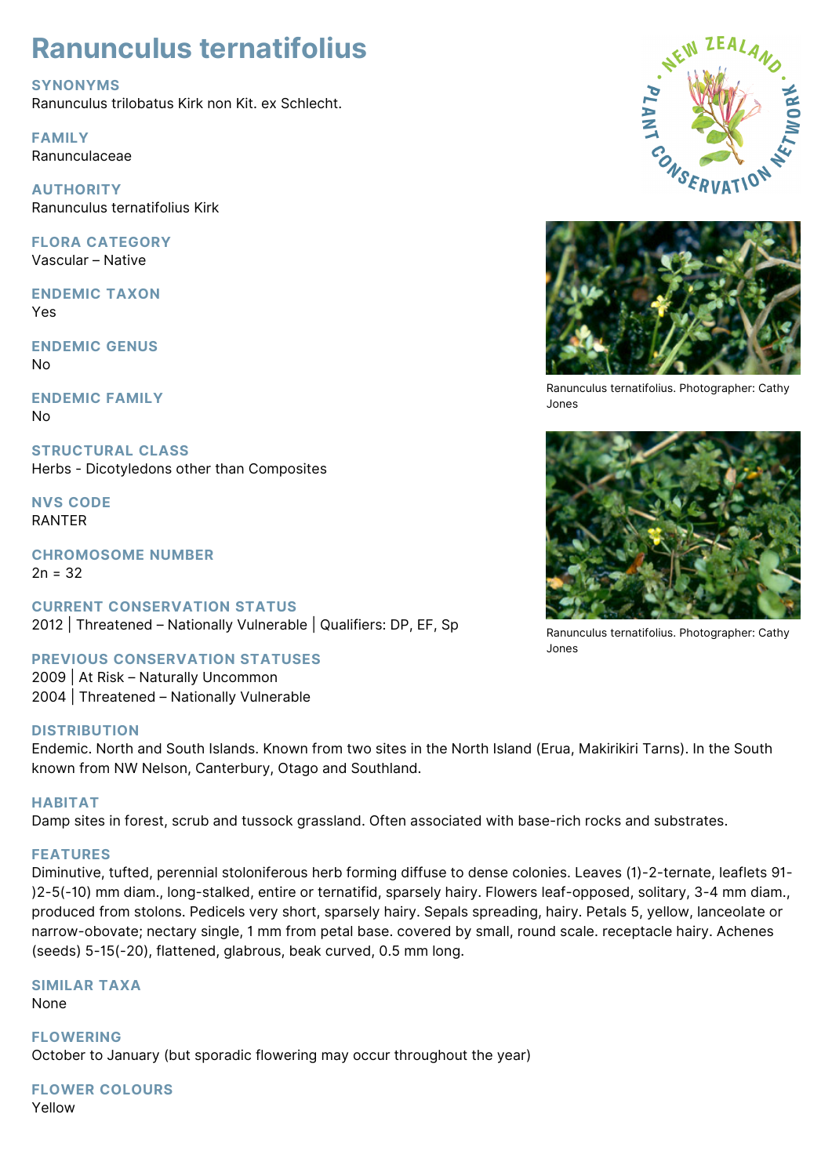# **Ranunculus ternatifolius**

**SYNONYMS**

Ranunculus trilobatus Kirk non Kit. ex Schlecht.

**FAMILY** Ranunculaceae

**AUTHORITY** Ranunculus ternatifolius Kirk

**FLORA CATEGORY** Vascular – Native

**ENDEMIC TAXON** Yes

**ENDEMIC GENUS** No

**ENDEMIC FAMILY** No

**STRUCTURAL CLASS** Herbs - Dicotyledons other than Composites

**NVS CODE** RANTER

**CHROMOSOME NUMBER**  $2n = 32$ 

**CURRENT CONSERVATION STATUS** 2012 | Threatened – Nationally Vulnerable | Qualifiers: DP, EF, Sp

**PREVIOUS CONSERVATION STATUSES**

2009 | At Risk – Naturally Uncommon 2004 | Threatened – Nationally Vulnerable

## **DISTRIBUTION**

Endemic. North and South Islands. Known from two sites in the North Island (Erua, Makirikiri Tarns). In the South known from NW Nelson, Canterbury, Otago and Southland.

## **HABITAT**

Damp sites in forest, scrub and tussock grassland. Often associated with base-rich rocks and substrates.

## **FEATURES**

Diminutive, tufted, perennial stoloniferous herb forming diffuse to dense colonies. Leaves (1)-2-ternate, leaflets 91- )2-5(-10) mm diam., long-stalked, entire or ternatifid, sparsely hairy. Flowers leaf-opposed, solitary, 3-4 mm diam., produced from stolons. Pedicels very short, sparsely hairy. Sepals spreading, hairy. Petals 5, yellow, lanceolate or narrow-obovate; nectary single, 1 mm from petal base. covered by small, round scale. receptacle hairy. Achenes (seeds) 5-15(-20), flattened, glabrous, beak curved, 0.5 mm long.

## **SIMILAR TAXA**

None

**FLOWERING** October to January (but sporadic flowering may occur throughout the year)

# **FLOWER COLOURS**

Yellow





Ranunculus ternatifolius. Photographer: Cathy Jones



Ranunculus ternatifolius. Photographer: Cathy Jones